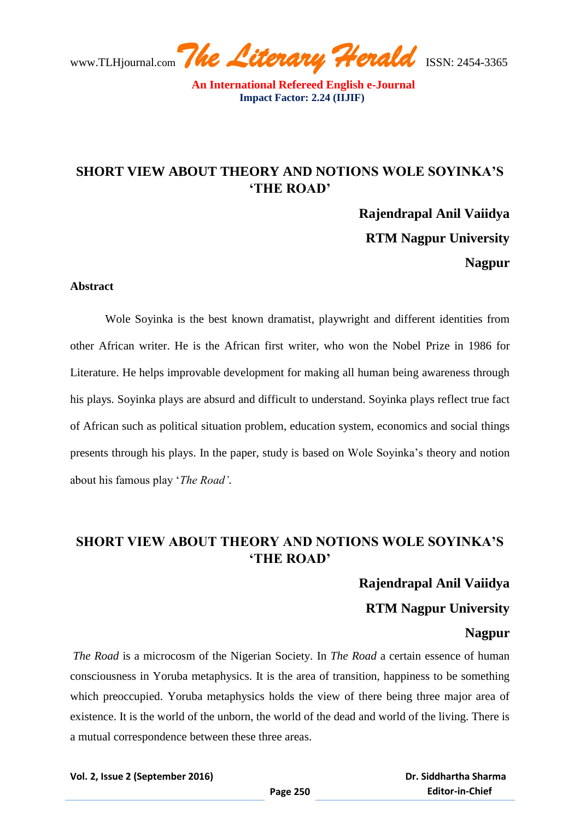**An International Refereed English e-Journal Impact Factor: 2.24 (IIJIF)** 

## **SHORT VIEW ABOUT THEORY AND NOTIONS WOLE SOYINKA'S 'THE ROAD'**

**Rajendrapal Anil Vaiidya RTM Nagpur University Nagpur**

#### **Abstract**

Wole Soyinka is the best known dramatist, playwright and different identities from other African writer. He is the African first writer, who won the Nobel Prize in 1986 for Literature. He helps improvable development for making all human being awareness through his plays. Soyinka plays are absurd and difficult to understand. Soyinka plays reflect true fact of African such as political situation problem, education system, economics and social things presents through his plays. In the paper, study is based on Wole Soyinka"s theory and notion about his famous play "*The Road'*.

# **SHORT VIEW ABOUT THEORY AND NOTIONS WOLE SOYINKA'S 'THE ROAD'**

### **Rajendrapal Anil Vaiidya**

## **RTM Nagpur University**

### **Nagpur**

*The Road* is a microcosm of the Nigerian Society. In *The Road* a certain essence of human consciousness in Yoruba metaphysics. It is the area of transition, happiness to be something which preoccupied. Yoruba metaphysics holds the view of there being three major area of existence. It is the world of the unborn, the world of the dead and world of the living. There is a mutual correspondence between these three areas.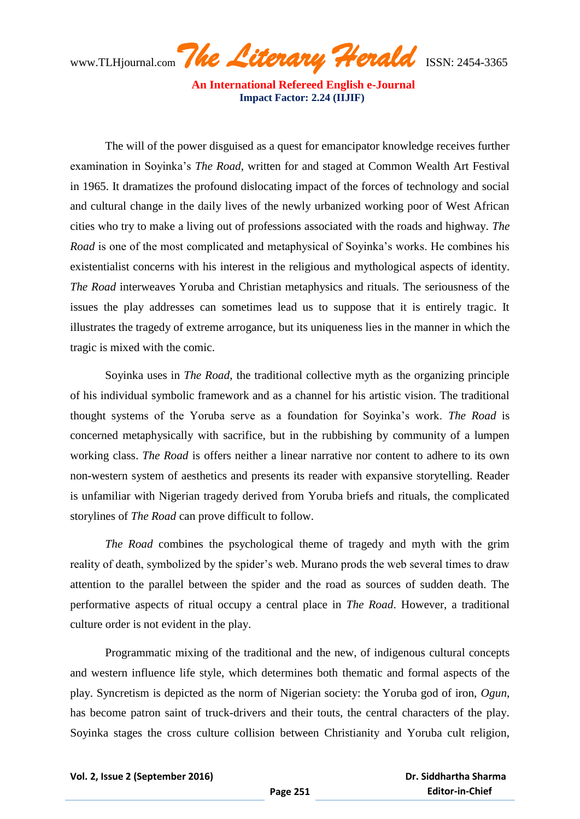**An International Refereed English e-Journal Impact Factor: 2.24 (IIJIF)** 

The will of the power disguised as a quest for emancipator knowledge receives further examination in Soyinka"s *The Road*, written for and staged at Common Wealth Art Festival in 1965. It dramatizes the profound dislocating impact of the forces of technology and social and cultural change in the daily lives of the newly urbanized working poor of West African cities who try to make a living out of professions associated with the roads and highway. *The Road* is one of the most complicated and metaphysical of Soyinka's works. He combines his existentialist concerns with his interest in the religious and mythological aspects of identity. *The Road* interweaves Yoruba and Christian metaphysics and rituals. The seriousness of the issues the play addresses can sometimes lead us to suppose that it is entirely tragic. It illustrates the tragedy of extreme arrogance, but its uniqueness lies in the manner in which the tragic is mixed with the comic.

Soyinka uses in *The Road*, the traditional collective myth as the organizing principle of his individual symbolic framework and as a channel for his artistic vision. The traditional thought systems of the Yoruba serve as a foundation for Soyinka"s work. *The Road* is concerned metaphysically with sacrifice, but in the rubbishing by community of a lumpen working class. *The Road* is offers neither a linear narrative nor content to adhere to its own non-western system of aesthetics and presents its reader with expansive storytelling. Reader is unfamiliar with Nigerian tragedy derived from Yoruba briefs and rituals, the complicated storylines of *The Road* can prove difficult to follow.

*The Road* combines the psychological theme of tragedy and myth with the grim reality of death, symbolized by the spider"s web. Murano prods the web several times to draw attention to the parallel between the spider and the road as sources of sudden death. The performative aspects of ritual occupy a central place in *The Road*. However, a traditional culture order is not evident in the play.

Programmatic mixing of the traditional and the new, of indigenous cultural concepts and western influence life style, which determines both thematic and formal aspects of the play. Syncretism is depicted as the norm of Nigerian society: the Yoruba god of iron, *Ogun*, has become patron saint of truck-drivers and their touts, the central characters of the play. Soyinka stages the cross culture collision between Christianity and Yoruba cult religion,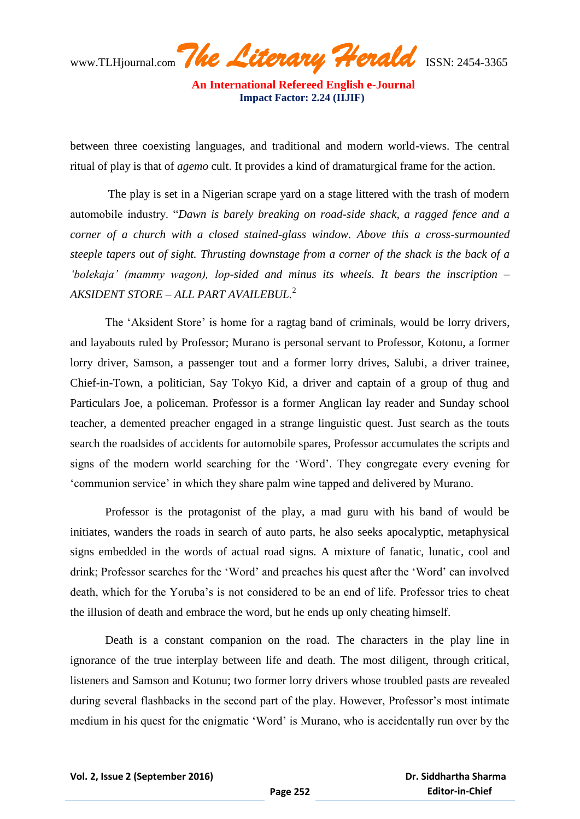**An International Refereed English e-Journal Impact Factor: 2.24 (IIJIF)** 

between three coexisting languages, and traditional and modern world-views. The central ritual of play is that of *agemo* cult. It provides a kind of dramaturgical frame for the action.

The play is set in a Nigerian scrape yard on a stage littered with the trash of modern automobile industry. "*Dawn is barely breaking on road-side shack, a ragged fence and a corner of a church with a closed stained-glass window. Above this a cross-surmounted steeple tapers out of sight. Thrusting downstage from a corner of the shack is the back of a 'bolekaja' (mammy wagon), lop-sided and minus its wheels. It bears the inscription – AKSIDENT STORE – ALL PART AVAILEBUL.*<sup>2</sup>

The 'Aksident Store' is home for a ragtag band of criminals, would be lorry drivers, and layabouts ruled by Professor; Murano is personal servant to Professor, Kotonu, a former lorry driver, Samson, a passenger tout and a former lorry drives, Salubi, a driver trainee, Chief-in-Town, a politician, Say Tokyo Kid, a driver and captain of a group of thug and Particulars Joe, a policeman. Professor is a former Anglican lay reader and Sunday school teacher, a demented preacher engaged in a strange linguistic quest. Just search as the touts search the roadsides of accidents for automobile spares, Professor accumulates the scripts and signs of the modern world searching for the "Word". They congregate every evening for "communion service" in which they share palm wine tapped and delivered by Murano.

Professor is the protagonist of the play, a mad guru with his band of would be initiates, wanders the roads in search of auto parts, he also seeks apocalyptic, metaphysical signs embedded in the words of actual road signs. A mixture of fanatic, lunatic, cool and drink; Professor searches for the "Word" and preaches his quest after the "Word" can involved death, which for the Yoruba"s is not considered to be an end of life. Professor tries to cheat the illusion of death and embrace the word, but he ends up only cheating himself.

Death is a constant companion on the road. The characters in the play line in ignorance of the true interplay between life and death. The most diligent, through critical, listeners and Samson and Kotunu; two former lorry drivers whose troubled pasts are revealed during several flashbacks in the second part of the play. However, Professor's most intimate medium in his quest for the enigmatic "Word" is Murano, who is accidentally run over by the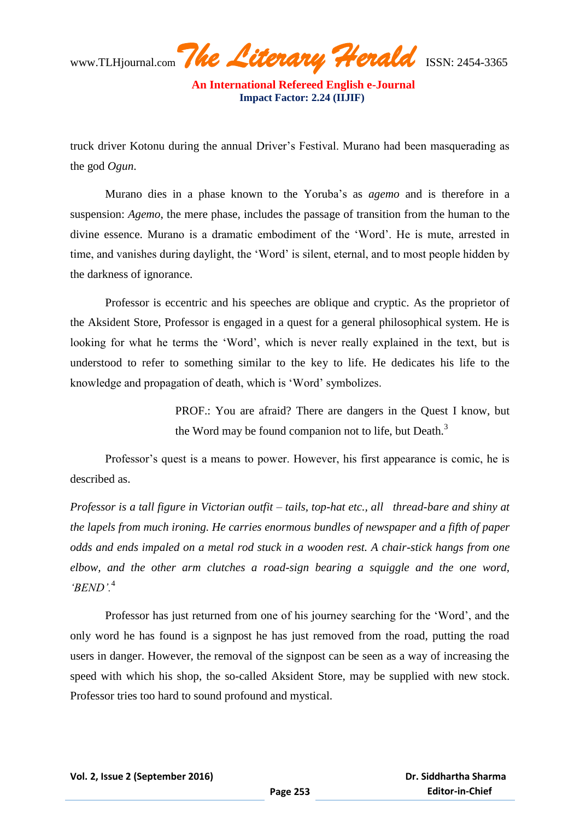www.TLHjournal.com*The Literary Herald*ISSN: 2454-3365

 **An International Refereed English e-Journal Impact Factor: 2.24 (IIJIF)** 

truck driver Kotonu during the annual Driver"s Festival. Murano had been masquerading as the god *Ogun*.

Murano dies in a phase known to the Yoruba"s as *agemo* and is therefore in a suspension: *Agemo*, the mere phase, includes the passage of transition from the human to the divine essence. Murano is a dramatic embodiment of the "Word". He is mute, arrested in time, and vanishes during daylight, the "Word" is silent, eternal, and to most people hidden by the darkness of ignorance.

Professor is eccentric and his speeches are oblique and cryptic. As the proprietor of the Aksident Store, Professor is engaged in a quest for a general philosophical system. He is looking for what he terms the "Word", which is never really explained in the text, but is understood to refer to something similar to the key to life. He dedicates his life to the knowledge and propagation of death, which is "Word" symbolizes.

> PROF.: You are afraid? There are dangers in the Quest I know, but the Word may be found companion not to life, but Death. $3$

Professor's quest is a means to power. However, his first appearance is comic, he is described as.

*Professor is a tall figure in Victorian outfit – tails, top-hat etc., all thread-bare and shiny at the lapels from much ironing. He carries enormous bundles of newspaper and a fifth of paper odds and ends impaled on a metal rod stuck in a wooden rest. A chair-stick hangs from one elbow, and the other arm clutches a road-sign bearing a squiggle and the one word, 'BEND'.*<sup>4</sup> 

Professor has just returned from one of his journey searching for the "Word", and the only word he has found is a signpost he has just removed from the road, putting the road users in danger. However, the removal of the signpost can be seen as a way of increasing the speed with which his shop, the so-called Aksident Store, may be supplied with new stock. Professor tries too hard to sound profound and mystical.

 **Dr. Siddhartha Sharma Editor-in-Chief**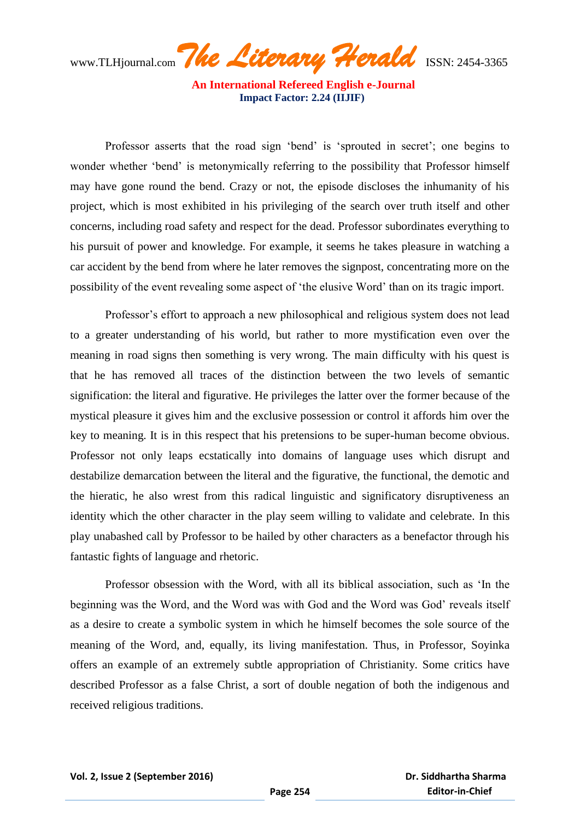**An International Refereed English e-Journal Impact Factor: 2.24 (IIJIF)** 

Professor asserts that the road sign 'bend' is 'sprouted in secret'; one begins to wonder whether "bend" is metonymically referring to the possibility that Professor himself may have gone round the bend. Crazy or not, the episode discloses the inhumanity of his project, which is most exhibited in his privileging of the search over truth itself and other concerns, including road safety and respect for the dead. Professor subordinates everything to his pursuit of power and knowledge. For example, it seems he takes pleasure in watching a car accident by the bend from where he later removes the signpost, concentrating more on the possibility of the event revealing some aspect of "the elusive Word" than on its tragic import.

Professor"s effort to approach a new philosophical and religious system does not lead to a greater understanding of his world, but rather to more mystification even over the meaning in road signs then something is very wrong. The main difficulty with his quest is that he has removed all traces of the distinction between the two levels of semantic signification: the literal and figurative. He privileges the latter over the former because of the mystical pleasure it gives him and the exclusive possession or control it affords him over the key to meaning. It is in this respect that his pretensions to be super-human become obvious. Professor not only leaps ecstatically into domains of language uses which disrupt and destabilize demarcation between the literal and the figurative, the functional, the demotic and the hieratic, he also wrest from this radical linguistic and significatory disruptiveness an identity which the other character in the play seem willing to validate and celebrate. In this play unabashed call by Professor to be hailed by other characters as a benefactor through his fantastic fights of language and rhetoric.

Professor obsession with the Word, with all its biblical association, such as "In the beginning was the Word, and the Word was with God and the Word was God' reveals itself as a desire to create a symbolic system in which he himself becomes the sole source of the meaning of the Word, and, equally, its living manifestation. Thus, in Professor, Soyinka offers an example of an extremely subtle appropriation of Christianity. Some critics have described Professor as a false Christ, a sort of double negation of both the indigenous and received religious traditions.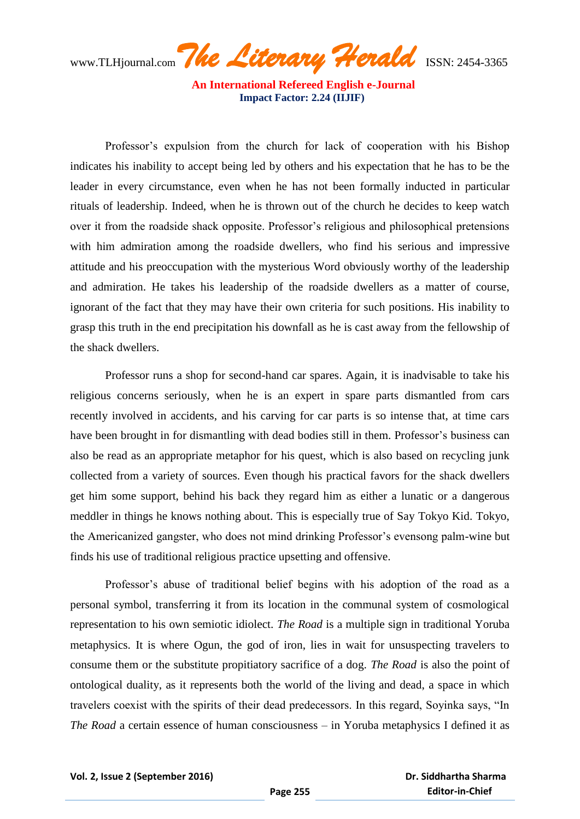**An International Refereed English e-Journal Impact Factor: 2.24 (IIJIF)** 

Professor"s expulsion from the church for lack of cooperation with his Bishop indicates his inability to accept being led by others and his expectation that he has to be the leader in every circumstance, even when he has not been formally inducted in particular rituals of leadership. Indeed, when he is thrown out of the church he decides to keep watch over it from the roadside shack opposite. Professor's religious and philosophical pretensions with him admiration among the roadside dwellers, who find his serious and impressive attitude and his preoccupation with the mysterious Word obviously worthy of the leadership and admiration. He takes his leadership of the roadside dwellers as a matter of course, ignorant of the fact that they may have their own criteria for such positions. His inability to grasp this truth in the end precipitation his downfall as he is cast away from the fellowship of the shack dwellers.

Professor runs a shop for second-hand car spares. Again, it is inadvisable to take his religious concerns seriously, when he is an expert in spare parts dismantled from cars recently involved in accidents, and his carving for car parts is so intense that, at time cars have been brought in for dismantling with dead bodies still in them. Professor's business can also be read as an appropriate metaphor for his quest, which is also based on recycling junk collected from a variety of sources. Even though his practical favors for the shack dwellers get him some support, behind his back they regard him as either a lunatic or a dangerous meddler in things he knows nothing about. This is especially true of Say Tokyo Kid. Tokyo, the Americanized gangster, who does not mind drinking Professor"s evensong palm-wine but finds his use of traditional religious practice upsetting and offensive.

Professor's abuse of traditional belief begins with his adoption of the road as a personal symbol, transferring it from its location in the communal system of cosmological representation to his own semiotic idiolect. *The Road* is a multiple sign in traditional Yoruba metaphysics. It is where Ogun, the god of iron, lies in wait for unsuspecting travelers to consume them or the substitute propitiatory sacrifice of a dog. *The Road* is also the point of ontological duality, as it represents both the world of the living and dead, a space in which travelers coexist with the spirits of their dead predecessors. In this regard, Soyinka says, "In *The Road* a certain essence of human consciousness – in Yoruba metaphysics I defined it as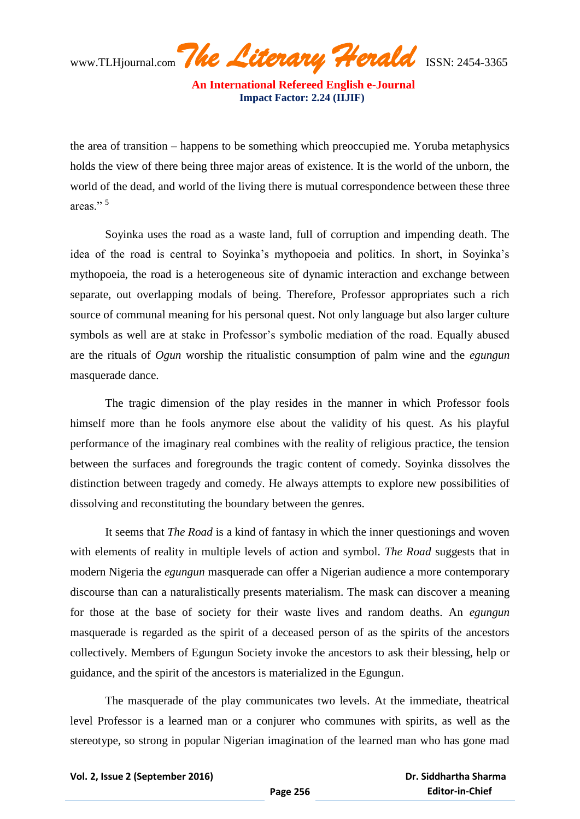**An International Refereed English e-Journal Impact Factor: 2.24 (IIJIF)** 

the area of transition – happens to be something which preoccupied me. Yoruba metaphysics holds the view of there being three major areas of existence. It is the world of the unborn, the world of the dead, and world of the living there is mutual correspondence between these three areas<sup>"</sup>

Soyinka uses the road as a waste land, full of corruption and impending death. The idea of the road is central to Soyinka"s mythopoeia and politics. In short, in Soyinka"s mythopoeia, the road is a heterogeneous site of dynamic interaction and exchange between separate, out overlapping modals of being. Therefore, Professor appropriates such a rich source of communal meaning for his personal quest. Not only language but also larger culture symbols as well are at stake in Professor's symbolic mediation of the road. Equally abused are the rituals of *Ogun* worship the ritualistic consumption of palm wine and the *egungun* masquerade dance.

The tragic dimension of the play resides in the manner in which Professor fools himself more than he fools anymore else about the validity of his quest. As his playful performance of the imaginary real combines with the reality of religious practice, the tension between the surfaces and foregrounds the tragic content of comedy. Soyinka dissolves the distinction between tragedy and comedy. He always attempts to explore new possibilities of dissolving and reconstituting the boundary between the genres.

It seems that *The Road* is a kind of fantasy in which the inner questionings and woven with elements of reality in multiple levels of action and symbol. *The Road* suggests that in modern Nigeria the *egungun* masquerade can offer a Nigerian audience a more contemporary discourse than can a naturalistically presents materialism. The mask can discover a meaning for those at the base of society for their waste lives and random deaths. An *egungun* masquerade is regarded as the spirit of a deceased person of as the spirits of the ancestors collectively. Members of Egungun Society invoke the ancestors to ask their blessing, help or guidance, and the spirit of the ancestors is materialized in the Egungun.

The masquerade of the play communicates two levels. At the immediate, theatrical level Professor is a learned man or a conjurer who communes with spirits, as well as the stereotype, so strong in popular Nigerian imagination of the learned man who has gone mad